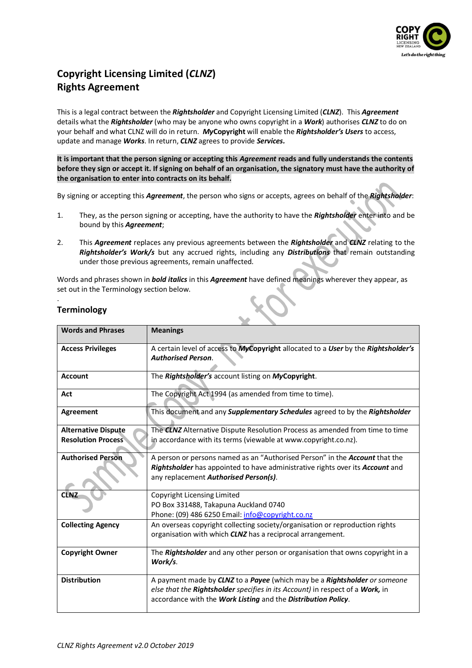

# **Copyright Licensing Limited (***CLNZ***) Rights Agreement**

This is a legal contract between the *Rightsholder* and Copyright Licensing Limited (*CLNZ*). This *Agreement* details what the *Rightsholder* (who may be anyone who owns copyright in a *Work*) authorises *CLNZ* to do on your behalf and what CLNZ will do in return. *My***Copyright** will enable the *Rightsholder's Users* to access, update and manage *Works*. In return, *CLNZ* agrees to provide *Services.*

**It is important that the person signing or accepting this** *Agreement* **reads and fully understands the contents before they sign or accept it. If signing on behalf of an organisation, the signatory must have the authority of the organisation to enter into contracts on its behalf.**

By signing or accepting this *Agreement*, the person who signs or accepts, agrees on behalf of the *Rightsholder*:

- 1. They, as the person signing or accepting, have the authority to have the *Rightsholder* enter into and be bound by this *Agreement*;
- 2. This *Agreement* replaces any previous agreements between the *Rightsholder* and *CLNZ* relating to the *Rightsholder's Work/s* but any accrued rights, including any *Distributions* that remain outstanding under those previous agreements, remain unaffected.

Words and phrases shown in *bold italics* in this *Agreement* have defined meanings wherever they appear, as set out in the Terminology section below.

| <b>Words and Phrases</b>                                | <b>Meanings</b>                                                                                                                                                                                                             |
|---------------------------------------------------------|-----------------------------------------------------------------------------------------------------------------------------------------------------------------------------------------------------------------------------|
| <b>Access Privileges</b>                                | A certain level of access to MyCopyright allocated to a User by the Rightsholder's<br><b>Authorised Person.</b>                                                                                                             |
| <b>Account</b>                                          | The Rightsholder's account listing on MyCopyright.                                                                                                                                                                          |
| Act                                                     | The Copyright Act 1994 (as amended from time to time).                                                                                                                                                                      |
| <b>Agreement</b>                                        | This document and any <i>Supplementary Schedules</i> agreed to by the Rightsholder                                                                                                                                          |
| <b>Alternative Dispute</b><br><b>Resolution Process</b> | The CLNZ Alternative Dispute Resolution Process as amended from time to time<br>in accordance with its terms (viewable at www.copyright.co.nz).                                                                             |
| <b>Authorised Person</b>                                | A person or persons named as an "Authorised Person" in the <b>Account</b> that the<br>Rightsholder has appointed to have administrative rights over its Account and<br>any replacement Authorised Person(s).                |
| <b>CLNZ</b>                                             | Copyright Licensing Limited<br>PO Box 331488, Takapuna Auckland 0740<br>Phone: (09) 486 6250 Email: info@copyright.co.nz                                                                                                    |
| <b>Collecting Agency</b>                                | An overseas copyright collecting society/organisation or reproduction rights<br>organisation with which <b>CLNZ</b> has a reciprocal arrangement.                                                                           |
| <b>Copyright Owner</b>                                  | The Rightsholder and any other person or organisation that owns copyright in a<br>Work/s.                                                                                                                                   |
| <b>Distribution</b>                                     | A payment made by CLNZ to a Payee (which may be a Rightsholder or someone<br>else that the Rightsholder specifies in its Account) in respect of a Work, in<br>accordance with the Work Listing and the Distribution Policy. |
|                                                         |                                                                                                                                                                                                                             |

## **Terminology**

.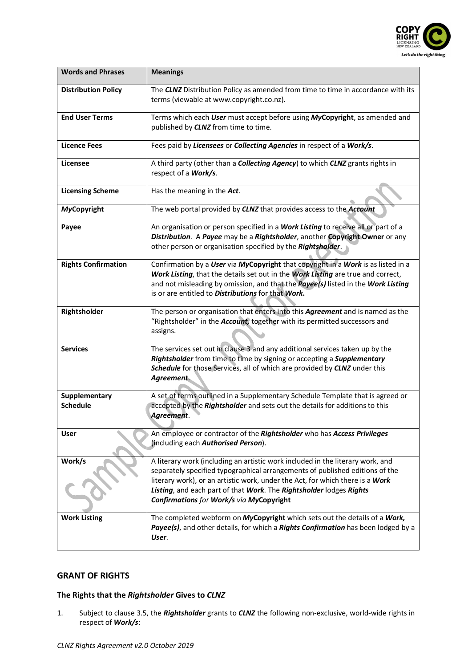

| <b>Words and Phrases</b>                | <b>Meanings</b>                                                                                                                                                                                                                                                                                                                                                    |
|-----------------------------------------|--------------------------------------------------------------------------------------------------------------------------------------------------------------------------------------------------------------------------------------------------------------------------------------------------------------------------------------------------------------------|
| <b>Distribution Policy</b>              | The CLNZ Distribution Policy as amended from time to time in accordance with its<br>terms (viewable at www.copyright.co.nz).                                                                                                                                                                                                                                       |
| <b>End User Terms</b>                   | Terms which each User must accept before using MyCopyright, as amended and<br>published by <b>CLNZ</b> from time to time.                                                                                                                                                                                                                                          |
| <b>Licence Fees</b>                     | Fees paid by Licensees or Collecting Agencies in respect of a Work/s.                                                                                                                                                                                                                                                                                              |
| <b>Licensee</b>                         | A third party (other than a <b>Collecting Agency</b> ) to which <b>CLNZ</b> grants rights in<br>respect of a <b>Work/s</b> .                                                                                                                                                                                                                                       |
| <b>Licensing Scheme</b>                 | Has the meaning in the Act.                                                                                                                                                                                                                                                                                                                                        |
| <b>MyCopyright</b>                      | The web portal provided by CLNZ that provides access to the Account                                                                                                                                                                                                                                                                                                |
| Payee                                   | An organisation or person specified in a Work Listing to receive all or part of a<br>Distribution. A Payee may be a Rightsholder, another Copyright Owner or any<br>other person or organisation specified by the Rightsholder.                                                                                                                                    |
| <b>Rights Confirmation</b>              | Confirmation by a User via MyCopyright that copyright in a Work is as listed in a<br>Work Listing, that the details set out in the Work Listing are true and correct,<br>and not misleading by omission, and that the Payee(s) listed in the Work Listing<br>is or are entitled to <b>Distributions</b> for that <b>Work</b> .                                     |
| Rightsholder                            | The person or organisation that enters into this <b>Agreement</b> and is named as the<br>"Rightsholder" in the Account, together with its permitted successors and<br>assigns.                                                                                                                                                                                     |
| <b>Services</b>                         | The services set out in clause 3 and any additional services taken up by the<br>Rightsholder from time to time by signing or accepting a Supplementary<br>Schedule for those Services, all of which are provided by CLNZ under this<br>Agreement.                                                                                                                  |
| <b>Supplementary</b><br><b>Schedule</b> | A set of terms outlined in a Supplementary Schedule Template that is agreed or<br>accepted by the Rightsholder and sets out the details for additions to this<br>Agreement.                                                                                                                                                                                        |
| <b>User</b>                             | An employee or contractor of the Rightsholder who has Access Privileges<br>(including each Authorised Person).                                                                                                                                                                                                                                                     |
| Work/s                                  | A literary work (including an artistic work included in the literary work, and<br>separately specified typographical arrangements of published editions of the<br>literary work), or an artistic work, under the Act, for which there is a Work<br>Listing, and each part of that Work. The Rightsholder lodges Rights<br>Confirmations for Work/s via MyCopyright |
| <b>Work Listing</b>                     | The completed webform on MyCopyright which sets out the details of a Work,<br>Payee(s), and other details, for which a Rights Confirmation has been lodged by a<br>User.                                                                                                                                                                                           |

## **GRANT OF RIGHTS**

## **The Rights that the** *Rightsholder* **Gives to** *CLNZ*

1. Subject to clause 3.5, the *Rightsholder* grants to *CLNZ* the following non-exclusive, world-wide rights in respect of *Work/s*: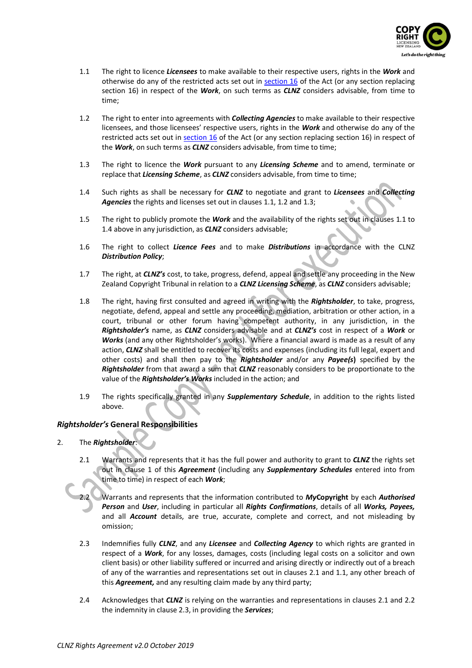

- 1.1 The right to licence *Licensees* to make available to their respective users, rights in the *Work* and otherwise do any of the restricted acts set out in section 16 of the Act (or any section replacing section 16) in respect of the *Work*, on such terms as *CLNZ* considers advisable, from time to time;
- 1.2 The right to enter into agreements with *Collecting Agencies* to make available to their respective licensees, and those licensees' respective users, rights in the *Work* and otherwise do any of the restricted acts set out in section 16 of the Act (or any section replacing section 16) in respect of the *Work*, on such terms as *CLNZ* considers advisable, from time to time;
- 1.3 The right to licence the *Work* pursuant to any *Licensing Scheme* and to amend, terminate or replace that *Licensing Scheme*, as *CLNZ* considers advisable, from time to time;
- 1.4 Such rights as shall be necessary for *CLNZ* to negotiate and grant to *Licensees* and *Collecting Agencies* the rights and licenses set out in clauses 1.1, 1.2 and 1.3;
- 1.5 The right to publicly promote the *Work* and the availability of the rights set out in clauses 1.1 to 1.4 above in any jurisdiction, as *CLNZ* considers advisable;
- 1.6 The right to collect *Licence Fees* and to make *Distributions* in accordance with the CLNZ *Distribution Policy*;
- 1.7 The right, at *CLNZ's* cost, to take, progress, defend, appeal and settle any proceeding in the New Zealand Copyright Tribunal in relation to a *CLNZ Licensing Scheme*, as *CLNZ* considers advisable;
- 1.8 The right, having first consulted and agreed in writing with the *Rightsholder*, to take, progress, negotiate, defend, appeal and settle any proceeding, mediation, arbitration or other action, in a court, tribunal or other forum having competent authority, in any jurisdiction, in the *Rightsholder's* name, as *CLNZ* considers advisable and at *CLNZ's* cost in respect of a *Work* or *Works* (and any other Rightsholder's works). Where a financial award is made as a result of any action, **CLNZ** shall be entitled to recover its costs and expenses (including its full legal, expert and other costs) and shall then pay to the *Rightsholder* and/or any *Payee(s***)** specified by the *Rightsholder* from that award a sum that *CLNZ* reasonably considers to be proportionate to the value of the *Rightsholder's Works* included in the action; and
- 1.9 The rights specifically granted in any *Supplementary Schedule*, in addition to the rights listed above.

#### *Rightsholder's* **General Responsibilities**

- 2. The *Rightsholder*:
	- 2.1 Warrants and represents that it has the full power and authority to grant to *CLNZ* the rights set out in clause 1 of this *Agreement* (including any *Supplementary Schedules* entered into from time to time) in respect of each *Work*;
	- 2.2 Warrants and represents that the information contributed to *My***Copyright** by each *Authorised Person* and *User*, including in particular all *Rights Confirmations*, details of all *Works, Payees,* and all *Account* details, are true, accurate, complete and correct, and not misleading by omission;
	- 2.3 Indemnifies fully *CLNZ*, and any *Licensee* and *Collecting Agency* to which rights are granted in respect of a *Work*, for any losses, damages, costs (including legal costs on a solicitor and own client basis) or other liability suffered or incurred and arising directly or indirectly out of a breach of any of the warranties and representations set out in clauses 2.1 and 1.1, any other breach of this *Agreement,* and any resulting claim made by any third party;
	- 2.4 Acknowledges that *CLNZ* is relying on the warranties and representations in clauses 2.1 and 2.2 the indemnity in clause 2.3, in providing the *Services*;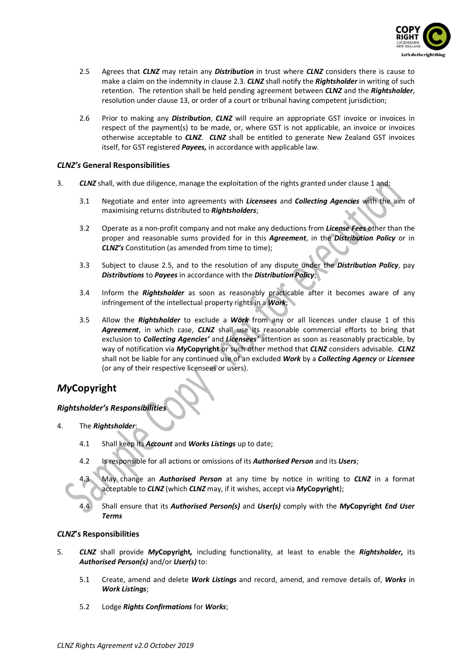

- 2.5 Agrees that *CLNZ* may retain any *Distribution* in trust where *CLNZ* considers there is cause to make a claim on the indemnity in clause 2.3. *CLNZ* shall notify the *Rightsholder* in writing of such retention. The retention shall be held pending agreement between *CLNZ* and the *Rightsholder*, resolution under clause 13, or order of a court or tribunal having competent jurisdiction;
- 2.6 Prior to making any *Distribution*, *CLNZ* will require an appropriate GST invoice or invoices in respect of the payment(s) to be made, or, where GST is not applicable, an invoice or invoices otherwise acceptable to *CLNZ*. *CLNZ* shall be entitled to generate New Zealand GST invoices itself, for GST registered *Payees,* in accordance with applicable law.

#### *CLNZ's* **General Responsibilities**

- 3. *CLNZ* shall, with due diligence, manage the exploitation of the rights granted under clause 1 and:
	- 3.1 Negotiate and enter into agreements with *Licensees* and *Collecting Agencies* with the aim of maximising returns distributed to *Rightsholders*;
	- 3.2 Operate as a non-profit company and not make any deductions from *License Fees* other than the proper and reasonable sums provided for in this *Agreement*, in the *Distribution Policy* or in *CLNZ's* Constitution (as amended from time to time);
	- 3.3 Subject to clause 2.5, and to the resolution of any dispute under the *Distribution Policy*, pay *Distributions* to *Payees* in accordance with the *Distribution Policy*;
	- 3.4 Inform the *Rightsholder* as soon as reasonably practicable after it becomes aware of any infringement of the intellectual property rights in a *Work*;
	- 3.5 Allow the *Rightsholder* to exclude a *Work* from any or all licences under clause 1 of this Agreement, in which case, CLNZ shall use its reasonable commercial efforts to bring that exclusion to *Collecting Agencies'* and *Licensees'* attention as soon as reasonably practicable, by way of notification via *My***Copyright** or such other method that *CLNZ* considers advisable. *CLNZ* shall not be liable for any continued use of an excluded *Work* by a *Collecting Agency* or *Licensee* (or any of their respective licensees or users).

## *My***Copyright**

### *Rightsholder's Responsibilities*

- 4. The *Rightsholder*:
	- 4.1 Shall keep its *Account* and *Works Listings* up to date;
	- 4.2 Is responsible for all actions or omissions of its *Authorised Person* and its *Users*;

4.3 May change an *Authorised Person* at any time by notice in writing to *CLNZ* in a format acceptable to *CLNZ* (which *CLNZ* may, if it wishes, accept via *My***Copyright**);

4.4 Shall ensure that its *Authorised Person(s)* and *User(s)* comply with the *My***Copyright** *End User Terms*

#### *CLNZ***'s Responsibilities**

- 5. *CLNZ* shall provide *My***Copyright***,* including functionality, at least to enable the *Rightsholder,* its *Authorised Person(s)* and/or *User(s)* to:
	- 5.1 Create, amend and delete *Work Listings* and record, amend, and remove details of, *Works* in *Work Listings*;
	- 5.2 Lodge *Rights Confirmations* for *Works*;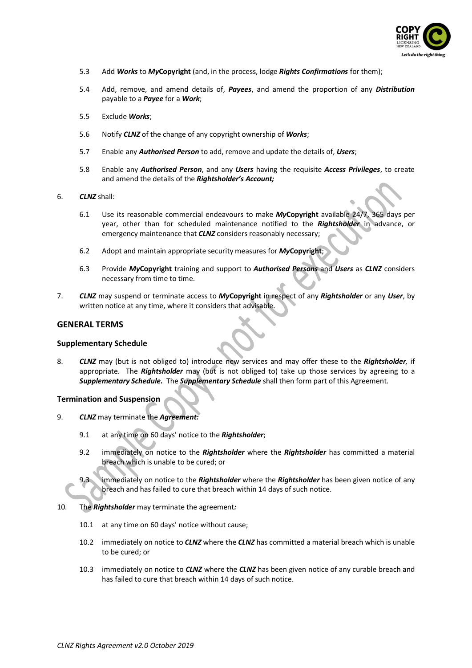

- 5.3 Add *Works* to *My***Copyright** (and, in the process, lodge *Rights Confirmations* for them);
- 5.4 Add, remove, and amend details of, *Payees*, and amend the proportion of any *Distribution*  payable to a *Payee* for a *Work*;
- 5.5 Exclude *Works*;
- 5.6 Notify *CLNZ* of the change of any copyright ownership of *Works*;
- 5.7 Enable any *Authorised Person* to add, remove and update the details of, *Users*;
- 5.8 Enable any *Authorised Person*, and any *Users* having the requisite *Access Privileges*, to create and amend the details of the *Rightsholder's Account;*
- 6. *CLNZ* shall:
	- 6.1 Use its reasonable commercial endeavours to make *My***Copyright** available 24/7, 365 days per year, other than for scheduled maintenance notified to the *Rightsholder* in advance, or emergency maintenance that *CLNZ* considers reasonably necessary;
	- 6.2 Adopt and maintain appropriate security measures for *My***Copyright**;
	- 6.3 Provide *My***Copyright** training and support to *Authorised Persons* and *Users* as *CLNZ* considers necessary from time to time.
- 7. *CLNZ* may suspend or terminate access to *My***Copyright** in respect of any *Rightsholder* or any *User*, by written notice at any time, where it considers that advisable.

#### **GENERAL TERMS**

#### **Supplementary Schedule**

8. *CLNZ* may (but is not obliged to) introduce new services and may offer these to the *Rightsholder,* if appropriate. The *Rightsholder* may (but is not obliged to) take up those services by agreeing to a *Supplementary Schedule.* The *Supplementary Schedule* shall then form part of this Agreement.

#### **Termination and Suspension**

- 9. *CLNZ* may terminate the *Agreement:*
	- 9.1 at any time on 60 days' notice to the *Rightsholder*;
	- 9.2 immediately on notice to the *Rightsholder* where the *Rightsholder* has committed a material breach which is unable to be cured; or

9.3 immediately on notice to the *Rightsholder* where the *Rightsholder* has been given notice of any breach and has failed to cure that breach within 14 days of such notice.

- 10. The *Rightsholder* may terminate the agreement*:*
	- 10.1 at any time on 60 days' notice without cause;
	- 10.2 immediately on notice to *CLNZ* where the *CLNZ* has committed a material breach which is unable to be cured; or
	- 10.3 immediately on notice to *CLNZ* where the *CLNZ* has been given notice of any curable breach and has failed to cure that breach within 14 days of such notice.